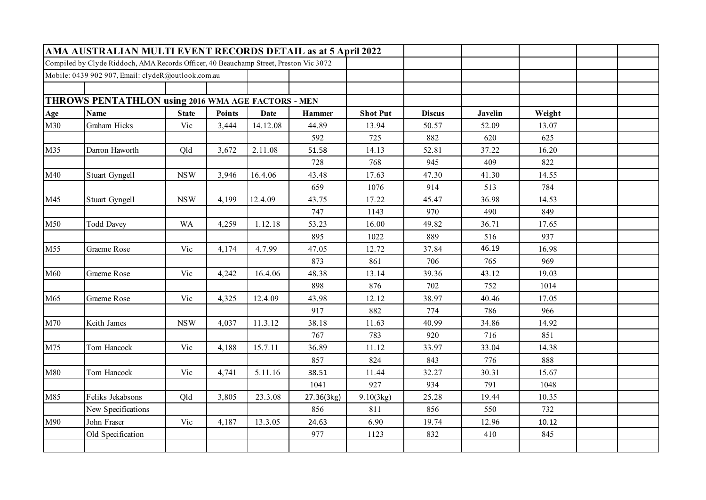|     | AMA AUSTRALIAN MULTI EVENT RECORDS DETAIL as at 5 April 2022                          |              |               |             |               |                 |               |                |        |  |
|-----|---------------------------------------------------------------------------------------|--------------|---------------|-------------|---------------|-----------------|---------------|----------------|--------|--|
|     | Compiled by Clyde Riddoch, AMA Records Officer, 40 Beauchamp Street, Preston Vic 3072 |              |               |             |               |                 |               |                |        |  |
|     | Mobile: 0439 902 907, Email: clydeR@outlook.com.au                                    |              |               |             |               |                 |               |                |        |  |
|     |                                                                                       |              |               |             |               |                 |               |                |        |  |
|     | THROWS PENTATHLON using 2016 WMA AGE FACTORS - MEN                                    |              |               |             |               |                 |               |                |        |  |
| Age | <b>Name</b>                                                                           | <b>State</b> | <b>Points</b> | <b>Date</b> | <b>Hammer</b> | <b>Shot Put</b> | <b>Discus</b> | <b>Javelin</b> | Weight |  |
| M30 | Graham Hicks                                                                          | Vic          | 3,444         | 14.12.08    | 44.89         | 13.94           | 50.57         | 52.09          | 13.07  |  |
|     |                                                                                       |              |               |             | 592           | 725             | 882           | 620            | 625    |  |
| M35 | Darron Haworth                                                                        | Qld          | 3,672         | 2.11.08     | 51.58         | 14.13           | 52.81         | 37.22          | 16.20  |  |
|     |                                                                                       |              |               |             | 728           | 768             | 945           | 409            | 822    |  |
| M40 | Stuart Gyngell                                                                        | <b>NSW</b>   | 3,946         | 16.4.06     | 43.48         | 17.63           | 47.30         | 41.30          | 14.55  |  |
|     |                                                                                       |              |               |             | 659           | 1076            | 914           | 513            | 784    |  |
| M45 | Stuart Gyngell                                                                        | <b>NSW</b>   | 4,199         | 12.4.09     | 43.75         | 17.22           | 45.47         | 36.98          | 14.53  |  |
|     |                                                                                       |              |               |             | 747           | 1143            | 970           | 490            | 849    |  |
| M50 | <b>Todd Davey</b>                                                                     | <b>WA</b>    | 4,259         | 1.12.18     | 53.23         | 16.00           | 49.82         | 36.71          | 17.65  |  |
|     |                                                                                       |              |               |             | 895           | 1022            | 889           | 516            | 937    |  |
| M55 | Graeme Rose                                                                           | Vic          | 4,174         | 4.7.99      | 47.05         | 12.72           | 37.84         | 46.19          | 16.98  |  |
|     |                                                                                       |              |               |             | 873           | 861             | 706           | 765            | 969    |  |
| M60 | Graeme Rose                                                                           | Vic          | 4,242         | 16.4.06     | 48.38         | 13.14           | 39.36         | 43.12          | 19.03  |  |
|     |                                                                                       |              |               |             | 898           | 876             | 702           | 752            | 1014   |  |
| M65 | Graeme Rose                                                                           | Vic          | 4,325         | 12.4.09     | 43.98         | 12.12           | 38.97         | 40.46          | 17.05  |  |
|     |                                                                                       |              |               |             | 917           | 882             | 774           | 786            | 966    |  |
| M70 | Keith James                                                                           | <b>NSW</b>   | 4,037         | 11.3.12     | 38.18         | 11.63           | 40.99         | 34.86          | 14.92  |  |
|     |                                                                                       |              |               |             | 767           | 783             | 920           | 716            | 851    |  |
| M75 | Tom Hancock                                                                           | Vic          | 4,188         | 15.7.11     | 36.89         | 11.12           | 33.97         | 33.04          | 14.38  |  |
|     |                                                                                       |              |               |             | 857           | 824             | 843           | 776            | 888    |  |
| M80 | Tom Hancock                                                                           | Vic          | 4,741         | 5.11.16     | 38.51         | 11.44           | 32.27         | 30.31          | 15.67  |  |
|     |                                                                                       |              |               |             | 1041          | 927             | 934           | 791            | 1048   |  |
| M85 | Feliks Jekabsons                                                                      | Qld          | 3,805         | 23.3.08     | 27.36(3kg)    | 9.10(3kg)       | 25.28         | 19.44          | 10.35  |  |
|     | New Specifications                                                                    |              |               |             | 856           | 811             | 856           | 550            | 732    |  |
| M90 | John Fraser                                                                           | Vic          | 4,187         | 13.3.05     | 24.63         | 6.90            | 19.74         | 12.96          | 10.12  |  |
|     | Old Specification                                                                     |              |               |             | 977           | 1123            | 832           | 410            | 845    |  |
|     |                                                                                       |              |               |             |               |                 |               |                |        |  |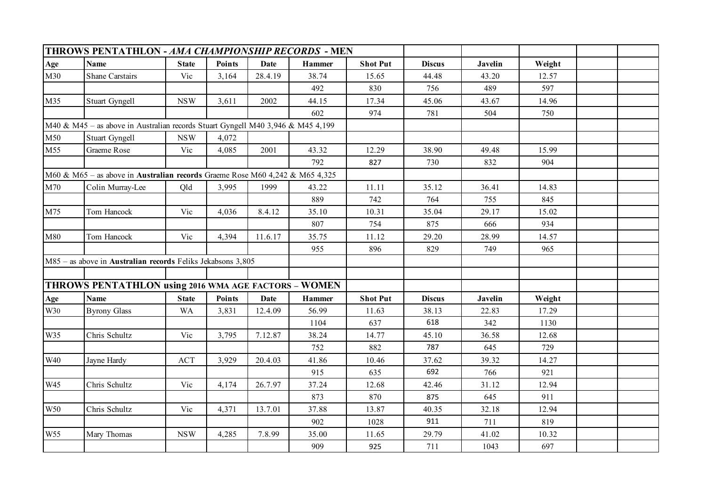|                 | <b>THROWS PENTATHLON - AMA CHAMPIONSHIP RECORDS - MEN</b>                       |              |               |             |               |                 |               |         |        |  |
|-----------------|---------------------------------------------------------------------------------|--------------|---------------|-------------|---------------|-----------------|---------------|---------|--------|--|
| Age             | <b>Name</b>                                                                     | <b>State</b> | <b>Points</b> | <b>Date</b> | <b>Hammer</b> | <b>Shot Put</b> | <b>Discus</b> | Javelin | Weight |  |
| M30             | <b>Shane Carstairs</b>                                                          | Vic          | 3,164         | 28.4.19     | 38.74         | 15.65           | 44.48         | 43.20   | 12.57  |  |
|                 |                                                                                 |              |               |             | 492           | 830             | 756           | 489     | 597    |  |
| M35             | Stuart Gyngell                                                                  | <b>NSW</b>   | 3,611         | 2002        | 44.15         | 17.34           | 45.06         | 43.67   | 14.96  |  |
|                 |                                                                                 |              |               |             | 602           | 974             | 781           | 504     | 750    |  |
|                 | M40 & M45 - as above in Australian records Stuart Gyngell M40 3,946 & M45 4,199 |              |               |             |               |                 |               |         |        |  |
| M50             | Stuart Gyngell                                                                  | $_{\rm NSW}$ | 4,072         |             |               |                 |               |         |        |  |
| M55             | Graeme Rose                                                                     | Vic          | 4,085         | 2001        | 43.32         | 12.29           | 38.90         | 49.48   | 15.99  |  |
|                 |                                                                                 |              |               |             | 792           | 827             | 730           | 832     | 904    |  |
|                 | M60 & M65 - as above in Australian records Graeme Rose M60 4,242 & M65 4,325    |              |               |             |               |                 |               |         |        |  |
| M70             | Colin Murray-Lee                                                                | Qld          | 3,995         | 1999        | 43.22         | 11.11           | 35.12         | 36.41   | 14.83  |  |
|                 |                                                                                 |              |               |             | 889           | 742             | 764           | 755     | 845    |  |
| M75             | Tom Hancock                                                                     | Vic          | 4,036         | 8.4.12      | 35.10         | 10.31           | 35.04         | 29.17   | 15.02  |  |
|                 |                                                                                 |              |               |             | 807           | 754             | 875           | 666     | 934    |  |
| M80             | Tom Hancock                                                                     | Vic          | 4,394         | 11.6.17     | 35.75         | 11.12           | 29.20         | 28.99   | 14.57  |  |
|                 |                                                                                 |              |               |             | 955           | 896             | 829           | 749     | 965    |  |
|                 | M85 - as above in Australian records Feliks Jekabsons 3,805                     |              |               |             |               |                 |               |         |        |  |
|                 |                                                                                 |              |               |             |               |                 |               |         |        |  |
|                 | THROWS PENTATHLON using 2016 WMA AGE FACTORS - WOMEN                            |              |               |             |               |                 |               |         |        |  |
| Age             | <b>Name</b>                                                                     | <b>State</b> | Points        | <b>Date</b> | Hammer        | <b>Shot Put</b> | <b>Discus</b> | Javelin | Weight |  |
| W30             | <b>Byrony Glass</b>                                                             | <b>WA</b>    | 3,831         | 12.4.09     | 56.99         | 11.63           | 38.13         | 22.83   | 17.29  |  |
|                 |                                                                                 |              |               |             | 1104          | 637             | 618           | 342     | 1130   |  |
| W35             | Chris Schultz                                                                   | Vic          | 3,795         | 7.12.87     | 38.24         | 14.77           | 45.10         | 36.58   | 12.68  |  |
|                 |                                                                                 |              |               |             | 752           | 882             | 787           | 645     | 729    |  |
| W40             | Jayne Hardy                                                                     | ACT          | 3,929         | 20.4.03     | 41.86         | 10.46           | 37.62         | 39.32   | 14.27  |  |
|                 |                                                                                 |              |               |             | 915           | 635             | 692           | 766     | 921    |  |
| W45             | Chris Schultz                                                                   | Vic          | 4,174         | 26.7.97     | 37.24         | 12.68           | 42.46         | 31.12   | 12.94  |  |
|                 |                                                                                 |              |               |             | 873           | 870             | 875           | 645     | 911    |  |
| W50             | Chris Schultz                                                                   | Vic          | 4,371         | 13.7.01     | 37.88         | 13.87           | 40.35         | 32.18   | 12.94  |  |
|                 |                                                                                 |              |               |             | 902           | 1028            | 911           | 711     | 819    |  |
| W <sub>55</sub> | Mary Thomas                                                                     | <b>NSW</b>   | 4,285         | 7.8.99      | 35.00         | 11.65           | 29.79         | 41.02   | 10.32  |  |
|                 |                                                                                 |              |               |             | 909           | 925             | 711           | 1043    | 697    |  |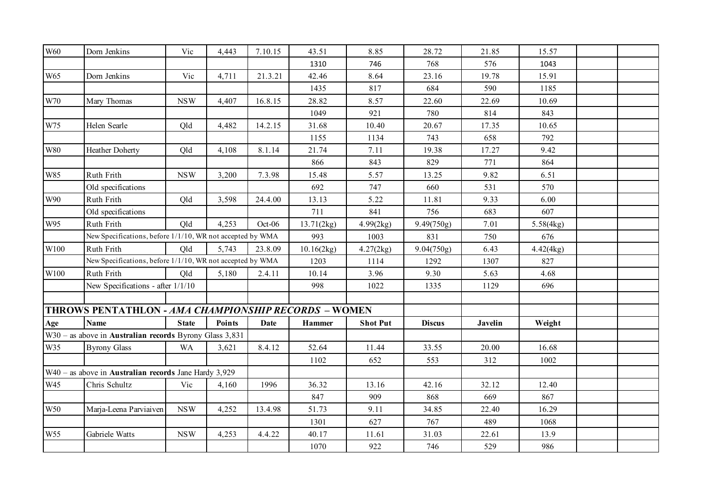| <b>W60</b>    | Dorn Jenkins                                                     | Vic          | 4,443         | 7.10.15     | 43.51         | 8.85            | 28.72         | 21.85          | 15.57     |  |
|---------------|------------------------------------------------------------------|--------------|---------------|-------------|---------------|-----------------|---------------|----------------|-----------|--|
|               |                                                                  |              |               |             | 1310          | 746             | 768           | 576            | 1043      |  |
| W65           | Dorn Jenkins                                                     | Vic          | 4,711         | 21.3.21     | 42.46         | 8.64            | 23.16         | 19.78          | 15.91     |  |
|               |                                                                  |              |               |             | 1435          | 817             | 684           | 590            | 1185      |  |
| W70           | Mary Thomas                                                      | <b>NSW</b>   | 4,407         | 16.8.15     | 28.82         | 8.57            | 22.60         | 22.69          | 10.69     |  |
|               |                                                                  |              |               |             | 1049          | 921             | 780           | 814            | 843       |  |
| W75           | Helen Searle                                                     | Qld          | 4,482         | 14.2.15     | 31.68         | 10.40           | 20.67         | 17.35          | 10.65     |  |
|               |                                                                  |              |               |             | 1155          | 1134            | 743           | 658            | 792       |  |
| $\,$ W80 $\,$ | Heather Doherty                                                  | Qld          | 4,108         | 8.1.14      | 21.74         | 7.11            | 19.38         | 17.27          | 9.42      |  |
|               |                                                                  |              |               |             | 866           | 843             | 829           | 771            | 864       |  |
| <b>W85</b>    | Ruth Frith                                                       | <b>NSW</b>   | 3,200         | 7.3.98      | 15.48         | 5.57            | 13.25         | 9.82           | 6.51      |  |
|               | Old specifications                                               |              |               |             | 692           | 747             | 660           | 531            | 570       |  |
| W90           | Ruth Frith                                                       | Qld          | 3,598         | 24.4.00     | 13.13         | 5.22            | 11.81         | 9.33           | 6.00      |  |
|               | Old specifications                                               |              |               |             | 711           | 841             | 756           | 683            | 607       |  |
| W95           | Ruth Frith                                                       | Qld          | 4,253         | $Oct-06$    | 13.71(2kg)    | 4.99(2kg)       | 9.49(750g)    | 7.01           | 5.58(4kg) |  |
|               | New Specifications, before 1/1/10, WR not accepted by WMA        |              |               |             | 993           | 1003            | 831           | 750            | 676       |  |
| W100          | Ruth Frith                                                       | Old          | 5,743         | 23.8.09     | 10.16(2kg)    | 4.27(2kg)       | 9.04(750g)    | 6.43           | 4.42(4kg) |  |
|               | New Specifications, before 1/1/10, WR not accepted by WMA        |              |               |             | 1203          | 1114            | 1292          | 1307           | 827       |  |
| W100          | Ruth Frith                                                       | Old          | 5,180         | 2.4.11      | 10.14         | 3.96            | 9.30          | 5.63           | 4.68      |  |
|               | New Specifications - after 1/1/10                                |              |               |             | 998           | 1022            | 1335          | 1129           | 696       |  |
|               |                                                                  |              |               |             |               |                 |               |                |           |  |
|               | THROWS PENTATHLON - AMA CHAMPIONSHIP RECORDS - WOMEN             |              |               |             |               |                 |               |                |           |  |
| Age           | <b>Name</b>                                                      | <b>State</b> | <b>Points</b> | <b>Date</b> | <b>Hammer</b> | <b>Shot Put</b> | <b>Discus</b> | <b>Javelin</b> | Weight    |  |
|               | $W30$ – as above in <b>Australian records</b> Byrony Glass 3,831 |              |               |             |               |                 |               |                |           |  |
| W35           | <b>Byrony Glass</b>                                              | <b>WA</b>    | 3,621         | 8.4.12      | 52.64         | 11.44           | 33.55         | 20.00          | 16.68     |  |
|               |                                                                  |              |               |             | 1102          | 652             | 553           | 312            | 1002      |  |
|               | $W40$ – as above in <b>Australian records</b> Jane Hardy 3,929   |              |               |             |               |                 |               |                |           |  |
| W45           | Chris Schultz                                                    | Vic          | 4,160         | 1996        | 36.32         | 13.16           | 42.16         | 32.12          | 12.40     |  |
|               |                                                                  |              |               |             | 847           | 909             | 868           | 669            | 867       |  |
| W50           | Marja-Leena Parviaiven                                           | <b>NSW</b>   | 4,252         | 13.4.98     | 51.73         | 9.11            | 34.85         | 22.40          | 16.29     |  |
|               |                                                                  |              |               |             | 1301          | 627             | 767           | 489            | 1068      |  |
| W55           | Gabriele Watts                                                   | <b>NSW</b>   | 4,253         | 4.4.22      | 40.17         | 11.61           | 31.03         | 22.61          | 13.9      |  |
|               |                                                                  |              |               |             | 1070          | 922             | 746           | 529            | 986       |  |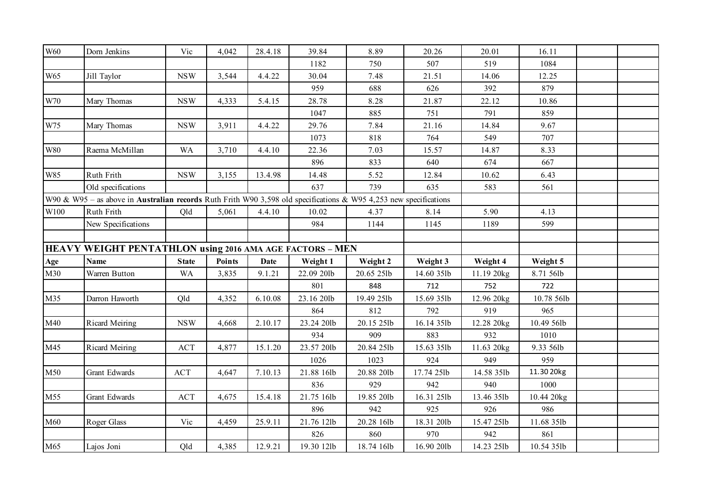| W60             | Dorn Jenkins                                                                                                             | Vic          | 4,042         | 28.4.18     | 39.84      | 8.89       | 20.26      | 20.01      | 16.11      |  |
|-----------------|--------------------------------------------------------------------------------------------------------------------------|--------------|---------------|-------------|------------|------------|------------|------------|------------|--|
|                 |                                                                                                                          |              |               |             | 1182       | 750        | 507        | 519        | 1084       |  |
| W <sub>65</sub> | Jill Taylor                                                                                                              | <b>NSW</b>   | 3,544         | 4.4.22      | 30.04      | 7.48       | 21.51      | 14.06      | 12.25      |  |
|                 |                                                                                                                          |              |               |             | 959        | 688        | 626        | 392        | 879        |  |
| $\,$ W70 $\,$   | Mary Thomas                                                                                                              | <b>NSW</b>   | 4,333         | 5.4.15      | 28.78      | 8.28       | 21.87      | 22.12      | 10.86      |  |
|                 |                                                                                                                          |              |               |             | 1047       | 885        | 751        | 791        | 859        |  |
| W75             | Mary Thomas                                                                                                              | <b>NSW</b>   | 3,911         | 4.4.22      | 29.76      | 7.84       | 21.16      | 14.84      | 9.67       |  |
|                 |                                                                                                                          |              |               |             | 1073       | 818        | 764        | 549        | 707        |  |
| <b>W80</b>      | Raema McMillan                                                                                                           | <b>WA</b>    | 3,710         | 4.4.10      | 22.36      | 7.03       | 15.57      | 14.87      | 8.33       |  |
|                 |                                                                                                                          |              |               |             | 896        | 833        | 640        | 674        | 667        |  |
| W85             | Ruth Frith                                                                                                               | $_{\rm NSW}$ | 3,155         | 13.4.98     | 14.48      | 5.52       | 12.84      | 10.62      | 6.43       |  |
|                 | Old specifications                                                                                                       |              |               |             | 637        | 739        | 635        | 583        | 561        |  |
|                 | W90 & W95 – as above in <b>Australian records</b> Ruth Frith W90 3,598 old specifications & W95 4,253 new specifications |              |               |             |            |            |            |            |            |  |
| W100            | <b>Ruth Frith</b>                                                                                                        | Qld          | 5,061         | 4.4.10      | 10.02      | 4.37       | 8.14       | 5.90       | 4.13       |  |
|                 | New Specifications                                                                                                       |              |               |             | 984        | 1144       | 1145       | 1189       | 599        |  |
|                 |                                                                                                                          |              |               |             |            |            |            |            |            |  |
|                 | HEAVY WEIGHT PENTATHLON using 2016 AMA AGE FACTORS - MEN                                                                 |              |               |             |            |            |            |            |            |  |
| Age             | <b>Name</b>                                                                                                              | <b>State</b> | <b>Points</b> | <b>Date</b> | Weight 1   | Weight 2   | Weight 3   | Weight 4   | Weight 5   |  |
| M30             | Warren Button                                                                                                            | <b>WA</b>    | 3,835         | 9.1.21      | 22.09 201b | 20.65 25lb | 14.60 35lb | 11.19 20kg | 8.71 56lb  |  |
|                 |                                                                                                                          |              |               |             | 801        | 848        | 712        | 752        | 722        |  |
| M35             | Darron Haworth                                                                                                           | Qld          | 4,352         | 6.10.08     | 23.16 20lb | 19.49 25lb | 15.69 35lb | 12.96 20kg | 10.78 56lb |  |
|                 |                                                                                                                          |              |               |             | 864        | 812        | 792        | 919        | 965        |  |
| M40             | Ricard Meiring                                                                                                           | <b>NSW</b>   | 4,668         | 2.10.17     | 23.24 20lb | 20.15 25lb | 16.14 35lb | 12.28 20kg | 10.49 56lb |  |
|                 |                                                                                                                          |              |               |             | 934        | 909        | 883        | 932        | 1010       |  |
| M45             | Ricard Meiring                                                                                                           | <b>ACT</b>   | 4,877         | 15.1.20     | 23.57 20lb | 20.84 25lb | 15.63 35lb | 11.63 20kg | 9.33 56lb  |  |
|                 |                                                                                                                          |              |               |             | 1026       | 1023       | 924        | 949        | 959        |  |
| M50             | Grant Edwards                                                                                                            | <b>ACT</b>   | 4,647         | 7.10.13     | 21.88 16lb | 20.88 201b | 17.74 25lb | 14.58 35lb | 11.30 20kg |  |
|                 |                                                                                                                          |              |               |             | 836        | 929        | 942        | 940        | 1000       |  |
| M55             | Grant Edwards                                                                                                            | <b>ACT</b>   | 4,675         | 15.4.18     | 21.75 16lb | 19.85 201b | 16.31 25lb | 13.46 35lb | 10.44 20kg |  |
|                 |                                                                                                                          |              |               |             | 896        | 942        | 925        | 926        | 986        |  |
| M60             | Roger Glass                                                                                                              | Vic          | 4,459         | 25.9.11     | 21.76 12lb | 20.28 16lb | 18.31 201b | 15.47 25lb | 11.68 35lb |  |
|                 |                                                                                                                          |              |               |             | 826        | 860        | 970        | 942        | 861        |  |
| M65             | Lajos Joni                                                                                                               | Qld          | 4,385         | 12.9.21     | 19.30 12lb | 18.74 16lb | 16.90 20lb | 14.23 25lb | 10.54 35lb |  |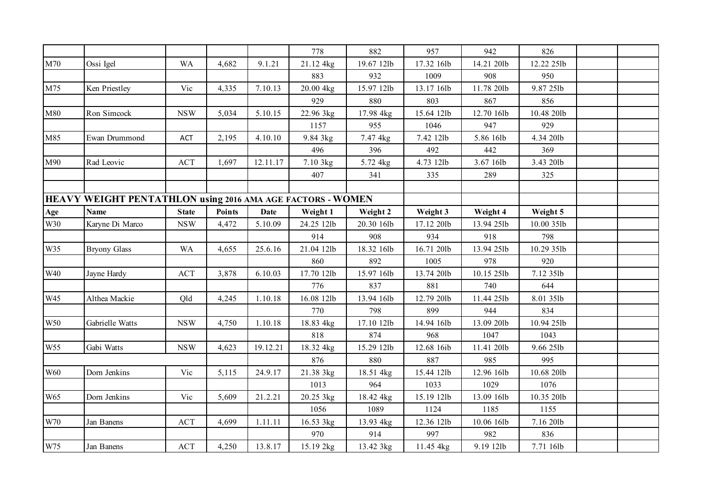|               |                                                            |              |               |             | 778        | 882        | 957        | 942        | 826        |  |
|---------------|------------------------------------------------------------|--------------|---------------|-------------|------------|------------|------------|------------|------------|--|
| M70           | Ossi Igel                                                  | <b>WA</b>    | 4,682         | 9.1.21      | 21.12 4kg  | 19.67 12lb | 17.32 16lb | 14.21 201b | 12.22 25lb |  |
|               |                                                            |              |               |             | 883        | 932        | 1009       | 908        | 950        |  |
| M75           | Ken Priestley                                              | Vic          | 4,335         | 7.10.13     | 20.00 4kg  | 15.97 12lb | 13.17 16lb | 11.78 201b | 9.87 25lb  |  |
|               |                                                            |              |               |             | 929        | 880        | 803        | 867        | 856        |  |
| M80           | Ron Simcock                                                | <b>NSW</b>   | 5,034         | 5.10.15     | 22.96 3kg  | 17.98 4kg  | 15.64 12lb | 12.70 16lb | 10.48 201b |  |
|               |                                                            |              |               |             | 1157       | 955        | 1046       | 947        | 929        |  |
| M85           | Ewan Drummond                                              | ACT          | 2,195         | 4.10.10     | 9.84 3kg   | 7.47 4kg   | 7.42 12lb  | 5.86 16lb  | 4.34 20lb  |  |
|               |                                                            |              |               |             | 496        | 396        | 492        | 442        | 369        |  |
| M90           | Rad Leovic                                                 | ACT          | 1,697         | 12.11.17    | 7.10 3kg   | 5.72 4kg   | 4.73 12lb  | 3.67 16lb  | 3.43 20lb  |  |
|               |                                                            |              |               |             | 407        | 341        | 335        | 289        | 325        |  |
|               |                                                            |              |               |             |            |            |            |            |            |  |
|               | HEAVY WEIGHT PENTATHLON using 2016 AMA AGE FACTORS - WOMEN |              |               |             |            |            |            |            |            |  |
| Age           | <b>Name</b>                                                | <b>State</b> | <b>Points</b> | <b>Date</b> | Weight 1   | Weight 2   | Weight 3   | Weight 4   | Weight 5   |  |
| W30           | Karyne Di Marco                                            | <b>NSW</b>   | 4,472         | 5.10.09     | 24.25 12lb | 20.30 16lb | 17.12 20lb | 13.94 25lb | 10.00 35lb |  |
|               |                                                            |              |               |             | 914        | 908        | 934        | 918        | 798        |  |
| W35           | <b>Bryony Glass</b>                                        | <b>WA</b>    | 4,655         | 25.6.16     | 21.04 12lb | 18.32 16lb | 16.71 20lb | 13.94 25lb | 10.29 35lb |  |
|               |                                                            |              |               |             | 860        | 892        | 1005       | 978        | 920        |  |
| <b>W40</b>    | Jayne Hardy                                                | ACT          | 3,878         | 6.10.03     | 17.70 12lb | 15.97 16lb | 13.74 201b | 10.15 25lb | 7.12 35lb  |  |
|               |                                                            |              |               |             | 776        | 837        | 881        | 740        | 644        |  |
| W45           | Althea Mackie                                              | Qld          | 4,245         | 1.10.18     | 16.08 12lb | 13.94 16lb | 12.79 201b | 11.44 25lb | 8.01 35lb  |  |
|               |                                                            |              |               |             | 770        | 798        | 899        | 944        | 834        |  |
| W50           | Gabrielle Watts                                            | <b>NSW</b>   | 4,750         | 1.10.18     | 18.83 4kg  | 17.10 12lb | 14.94 16lb | 13.09 20lb | 10.94 25lb |  |
|               |                                                            |              |               |             | 818        | 874        | 968        | 1047       | 1043       |  |
| W55           | Gabi Watts                                                 | <b>NSW</b>   | 4,623         | 19.12.21    | 18.32 4kg  | 15.29 12lb | 12.68 16ib | 11.41 20lb | 9.66 25lb  |  |
|               |                                                            |              |               |             | 876        | 880        | 887        | 985        | 995        |  |
| <b>W60</b>    | Dorn Jenkins                                               | Vic          | 5,115         | 24.9.17     | 21.38 3kg  | 18.51 4kg  | 15.44 12lb | 12.96 16lb | 10.68 201b |  |
|               |                                                            |              |               |             | 1013       | 964        | 1033       | 1029       | 1076       |  |
| W65           | Dorn Jenkins                                               | Vic          | 5,609         | 21.2.21     | 20.25 3kg  | 18.42 4kg  | 15.19 12lb | 13.09 16lb | 10.35 201b |  |
|               |                                                            |              |               |             | 1056       | 1089       | 1124       | 1185       | 1155       |  |
| $\,$ W70 $\,$ | Jan Banens                                                 | <b>ACT</b>   | 4,699         | 1.11.11     | 16.53 3kg  | 13.93 4kg  | 12.36 12lb | 10.06 16lb | 7.16 20lb  |  |
|               |                                                            |              |               |             | 970        | 914        | 997        | 982        | 836        |  |
| W75           | Jan Banens                                                 | ACT          | 4,250         | 13.8.17     | 15.19 2kg  | 13.42 3kg  | 11.45 4kg  | 9.19 12lb  | 7.71 16lb  |  |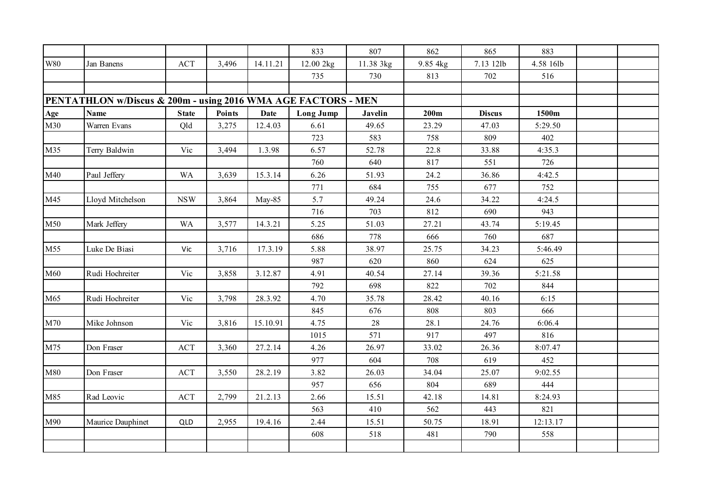|               |                                                               |              |               |             | 833              | 807       | 862      | 865           | 883       |  |
|---------------|---------------------------------------------------------------|--------------|---------------|-------------|------------------|-----------|----------|---------------|-----------|--|
| $\,$ W80 $\,$ | Jan Banens                                                    | ACT          | 3,496         | 14.11.21    | 12.00 2kg        | 11.38 3kg | 9.85 4kg | 7.13 12lb     | 4.58 16lb |  |
|               |                                                               |              |               |             | 735              | 730       | 813      | 702           | 516       |  |
|               |                                                               |              |               |             |                  |           |          |               |           |  |
|               | PENTATHLON w/Discus & 200m - using 2016 WMA AGE FACTORS - MEN |              |               |             |                  |           |          |               |           |  |
| Age           | <b>Name</b>                                                   | <b>State</b> | <b>Points</b> | <b>Date</b> | <b>Long Jump</b> | Javelin   | 200m     | <b>Discus</b> | 1500m     |  |
| M30           | Warren Evans                                                  | Qld          | 3,275         | 12.4.03     | 6.61             | 49.65     | 23.29    | 47.03         | 5:29.50   |  |
|               |                                                               |              |               |             | 723              | 583       | 758      | 809           | 402       |  |
| M35           | Terry Baldwin                                                 | Vic          | 3,494         | 1.3.98      | 6.57             | 52.78     | 22.8     | 33.88         | 4:35.3    |  |
|               |                                                               |              |               |             | 760              | 640       | 817      | 551           | 726       |  |
| M40           | Paul Jeffery                                                  | <b>WA</b>    | 3,639         | 15.3.14     | 6.26             | 51.93     | 24.2     | 36.86         | 4:42.5    |  |
|               |                                                               |              |               |             | 771              | 684       | 755      | 677           | 752       |  |
| M45           | Lloyd Mitchelson                                              | <b>NSW</b>   | 3,864         | May-85      | 5.7              | 49.24     | 24.6     | 34.22         | 4:24.5    |  |
|               |                                                               |              |               |             | 716              | 703       | 812      | 690           | 943       |  |
| M50           | Mark Jeffery                                                  | <b>WA</b>    | 3,577         | 14.3.21     | 5.25             | 51.03     | 27.21    | 43.74         | 5:19.45   |  |
|               |                                                               |              |               |             | 686              | 778       | 666      | 760           | 687       |  |
| M55           | Luke De Biasi                                                 | Vic          | 3,716         | 17.3.19     | 5.88             | 38.97     | 25.75    | 34.23         | 5:46.49   |  |
|               |                                                               |              |               |             | 987              | 620       | 860      | 624           | 625       |  |
| M60           | Rudi Hochreiter                                               | Vic          | 3,858         | 3.12.87     | 4.91             | 40.54     | 27.14    | 39.36         | 5:21.58   |  |
|               |                                                               |              |               |             | 792              | 698       | 822      | 702           | 844       |  |
| M65           | Rudi Hochreiter                                               | Vic          | 3,798         | 28.3.92     | 4.70             | 35.78     | 28.42    | 40.16         | 6:15      |  |
|               |                                                               |              |               |             | 845              | 676       | 808      | 803           | 666       |  |
| M70           | Mike Johnson                                                  | Vic          | 3,816         | 15.10.91    | 4.75             | $28\,$    | 28.1     | 24.76         | 6:06.4    |  |
|               |                                                               |              |               |             | 1015             | 571       | 917      | 497           | 816       |  |
| M75           | Don Fraser                                                    | ACT          | 3,360         | 27.2.14     | 4.26             | 26.97     | 33.02    | 26.36         | 8:07.47   |  |
|               |                                                               |              |               |             | 977              | 604       | 708      | 619           | 452       |  |
| M80           | Don Fraser                                                    | <b>ACT</b>   | 3,550         | 28.2.19     | 3.82             | 26.03     | 34.04    | 25.07         | 9:02.55   |  |
|               |                                                               |              |               |             | 957              | 656       | 804      | 689           | 444       |  |
| M85           | Rad Leovic                                                    | ACT          | 2,799         | 21.2.13     | 2.66             | 15.51     | 42.18    | 14.81         | 8:24.93   |  |
|               |                                                               |              |               |             | 563              | 410       | 562      | 443           | 821       |  |
| M90           | Maurice Dauphinet                                             | QLD          | 2,955         | 19.4.16     | 2.44             | 15.51     | 50.75    | 18.91         | 12:13.17  |  |
|               |                                                               |              |               |             | 608              | 518       | 481      | 790           | 558       |  |
|               |                                                               |              |               |             |                  |           |          |               |           |  |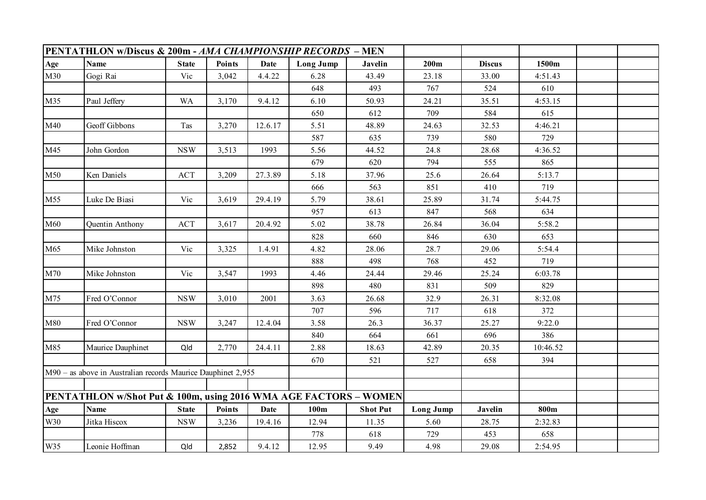|     | PENTATHLON w/Discus & 200m - AMA CHAMPIONSHIP RECORDS – MEN      |              |               |             |                  |                 |                  |                |          |  |
|-----|------------------------------------------------------------------|--------------|---------------|-------------|------------------|-----------------|------------------|----------------|----------|--|
| Age | <b>Name</b>                                                      | <b>State</b> | Points        | <b>Date</b> | <b>Long Jump</b> | <b>Javelin</b>  | 200m             | <b>Discus</b>  | 1500m    |  |
| M30 | Gogi Rai                                                         | Vic          | 3,042         | 4.4.22      | 6.28             | 43.49           | 23.18            | 33.00          | 4:51.43  |  |
|     |                                                                  |              |               |             | 648              | 493             | 767              | 524            | 610      |  |
| M35 | Paul Jeffery                                                     | <b>WA</b>    | 3,170         | 9.4.12      | 6.10             | 50.93           | 24.21            | 35.51          | 4:53.15  |  |
|     |                                                                  |              |               |             | 650              | 612             | 709              | 584            | 615      |  |
| M40 | Geoff Gibbons                                                    | Tas          | 3,270         | 12.6.17     | 5.51             | 48.89           | 24.63            | 32.53          | 4:46.21  |  |
|     |                                                                  |              |               |             | 587              | 635             | 739              | 580            | 729      |  |
| M45 | John Gordon                                                      | <b>NSW</b>   | 3,513         | 1993        | 5.56             | 44.52           | 24.8             | 28.68          | 4:36.52  |  |
|     |                                                                  |              |               |             | 679              | 620             | 794              | 555            | 865      |  |
| M50 | Ken Daniels                                                      | ACT          | 3,209         | 27.3.89     | 5.18             | 37.96           | 25.6             | 26.64          | 5:13.7   |  |
|     |                                                                  |              |               |             | 666              | 563             | 851              | 410            | 719      |  |
| M55 | Luke De Biasi                                                    | Vic          | 3,619         | 29.4.19     | 5.79             | 38.61           | 25.89            | 31.74          | 5:44.75  |  |
|     |                                                                  |              |               |             | 957              | 613             | 847              | 568            | 634      |  |
| M60 | Quentin Anthony                                                  | <b>ACT</b>   | 3,617         | 20.4.92     | 5.02             | 38.78           | 26.84            | 36.04          | 5:58.2   |  |
|     |                                                                  |              |               |             | 828              | 660             | 846              | 630            | 653      |  |
| M65 | Mike Johnston                                                    | Vic          | 3,325         | 1.4.91      | 4.82             | 28.06           | 28.7             | 29.06          | 5:54.4   |  |
|     |                                                                  |              |               |             | 888              | 498             | 768              | 452            | 719      |  |
| M70 | Mike Johnston                                                    | Vic          | 3,547         | 1993        | 4.46             | 24.44           | 29.46            | 25.24          | 6:03.78  |  |
|     |                                                                  |              |               |             | 898              | 480             | 831              | 509            | 829      |  |
| M75 | Fred O'Connor                                                    | <b>NSW</b>   | 3,010         | 2001        | 3.63             | 26.68           | 32.9             | 26.31          | 8:32.08  |  |
|     |                                                                  |              |               |             | 707              | 596             | 717              | 618            | 372      |  |
| M80 | Fred O'Connor                                                    | <b>NSW</b>   | 3,247         | 12.4.04     | 3.58             | 26.3            | 36.37            | 25.27          | 9:22.0   |  |
|     |                                                                  |              |               |             | 840              | 664             | 661              | 696            | 386      |  |
| M85 | Maurice Dauphinet                                                | Qld          | 2,770         | 24.4.11     | 2.88             | 18.63           | 42.89            | 20.35          | 10:46.52 |  |
|     |                                                                  |              |               |             | 670              | 521             | 527              | 658            | 394      |  |
|     | M90 - as above in Australian records Maurice Dauphinet 2,955     |              |               |             |                  |                 |                  |                |          |  |
|     |                                                                  |              |               |             |                  |                 |                  |                |          |  |
|     | PENTATHLON w/Shot Put & 100m, using 2016 WMA AGE FACTORS - WOMEN |              |               |             |                  |                 |                  |                |          |  |
| Age | <b>Name</b>                                                      | <b>State</b> | <b>Points</b> | <b>Date</b> | 100m             | <b>Shot Put</b> | <b>Long Jump</b> | <b>Javelin</b> | 800m     |  |
| W30 | Jitka Hiscox                                                     | <b>NSW</b>   | 3,236         | 19.4.16     | 12.94            | 11.35           | 5.60             | 28.75          | 2:32.83  |  |
|     |                                                                  |              |               |             | 778              | 618             | 729              | 453            | 658      |  |
| W35 | Leonie Hoffman                                                   | Qld          | 2,852         | 9.4.12      | 12.95            | 9.49            | 4.98             | 29.08          | 2:54.95  |  |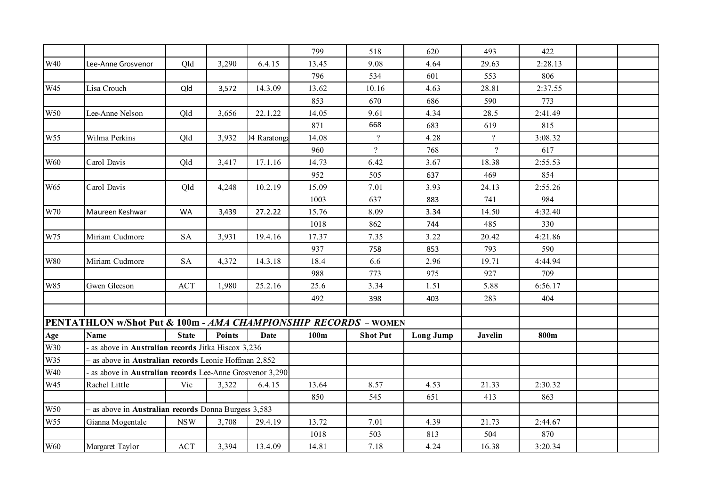|            |                                                                 |              |               |              | 799   | 518             | 620              | 493                      | 422     |  |
|------------|-----------------------------------------------------------------|--------------|---------------|--------------|-------|-----------------|------------------|--------------------------|---------|--|
| W40        | Lee-Anne Grosvenor                                              | Qld          | 3,290         | 6.4.15       | 13.45 | 9.08            | 4.64             | 29.63                    | 2:28.13 |  |
|            |                                                                 |              |               |              | 796   | 534             | 601              | 553                      | 806     |  |
| W45        | Lisa Crouch                                                     | Qld          | 3,572         | 14.3.09      | 13.62 | 10.16           | 4.63             | 28.81                    | 2:37.55 |  |
|            |                                                                 |              |               |              | 853   | 670             | 686              | 590                      | 773     |  |
| W50        | Lee-Anne Nelson                                                 | Qld          | 3,656         | 22.1.22      | 14.05 | 9.61            | 4.34             | 28.5                     | 2:41.49 |  |
|            |                                                                 |              |               |              | 871   | 668             | 683              | 619                      | 815     |  |
| W55        | Wilma Perkins                                                   | Qld          | 3,932         | 04 Raratonga | 14.08 | $\overline{?}$  | 4.28             | $\overline{\mathcal{L}}$ | 3:08.32 |  |
|            |                                                                 |              |               |              | 960   | $\overline{?}$  | 768              | $\overline{?}$           | 617     |  |
| W60        | Carol Davis                                                     | Qld          | 3,417         | 17.1.16      | 14.73 | 6.42            | 3.67             | 18.38                    | 2:55.53 |  |
|            |                                                                 |              |               |              | 952   | 505             | 637              | 469                      | 854     |  |
| W65        | Carol Davis                                                     | Qld          | 4,248         | 10.2.19      | 15.09 | 7.01            | 3.93             | 24.13                    | 2:55.26 |  |
|            |                                                                 |              |               |              | 1003  | 637             | 883              | 741                      | 984     |  |
| W70        | Maureen Keshwar                                                 | WA           | 3,439         | 27.2.22      | 15.76 | 8.09            | 3.34             | 14.50                    | 4:32.40 |  |
|            |                                                                 |              |               |              | 1018  | 862             | 744              | 485                      | 330     |  |
| W75        | Miriam Cudmore                                                  | <b>SA</b>    | 3,931         | 19.4.16      | 17.37 | 7.35            | 3.22             | 20.42                    | 4:21.86 |  |
|            |                                                                 |              |               |              | 937   | 758             | 853              | 793                      | 590     |  |
| <b>W80</b> | Miriam Cudmore                                                  | <b>SA</b>    | 4,372         | 14.3.18      | 18.4  | 6.6             | 2.96             | 19.71                    | 4:44.94 |  |
|            |                                                                 |              |               |              | 988   | 773             | 975              | 927                      | 709     |  |
| W85        | Gwen Gleeson                                                    | <b>ACT</b>   | 1,980         | 25.2.16      | 25.6  | 3.34            | 1.51             | 5.88                     | 6:56.17 |  |
|            |                                                                 |              |               |              | 492   | 398             | 403              | 283                      | 404     |  |
|            |                                                                 |              |               |              |       |                 |                  |                          |         |  |
|            | PENTATHLON w/Shot Put & 100m - AMA CHAMPIONSHIP RECORDS - WOMEN |              |               |              |       |                 |                  |                          |         |  |
| Age        | <b>Name</b>                                                     | <b>State</b> | <b>Points</b> | Date         | 100m  | <b>Shot Put</b> | <b>Long Jump</b> | <b>Javelin</b>           | 800m    |  |
| W30        | as above in Australian records Jitka Hiscox 3,236               |              |               |              |       |                 |                  |                          |         |  |
| W35        | - as above in Australian records Leonie Hoffman 2,852           |              |               |              |       |                 |                  |                          |         |  |
| W40        | as above in Australian records Lee-Anne Grosvenor 3,290         |              |               |              |       |                 |                  |                          |         |  |
| W45        | Rachel Little                                                   | Vic          | 3,322         | 6.4.15       | 13.64 | 8.57            | 4.53             | 21.33                    | 2:30.32 |  |
|            |                                                                 |              |               |              | 850   | 545             | 651              | 413                      | 863     |  |
| W50        | - as above in Australian records Donna Burgess 3,583            |              |               |              |       |                 |                  |                          |         |  |
| W55        | Gianna Mogentale                                                | <b>NSW</b>   | 3,708         | 29.4.19      | 13.72 | 7.01            | 4.39             | 21.73                    | 2:44.67 |  |
|            |                                                                 |              |               |              | 1018  | 503             | 813              | 504                      | 870     |  |
| <b>W60</b> | Margaret Taylor                                                 | <b>ACT</b>   | 3,394         | 13.4.09      | 14.81 | 7.18            | 4.24             | 16.38                    | 3:20.34 |  |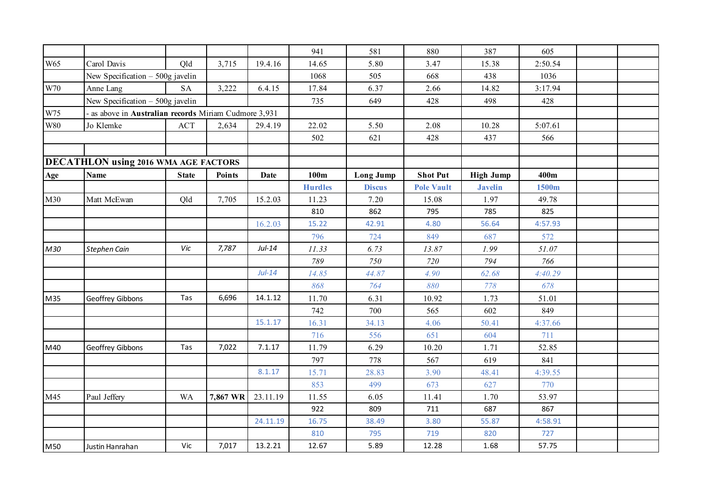|               |                                                     |                     |               |             | 941            | 581              | 880               | 387              | 605     |  |
|---------------|-----------------------------------------------------|---------------------|---------------|-------------|----------------|------------------|-------------------|------------------|---------|--|
| W65           | Carol Davis                                         | Old                 | 3,715         | 19.4.16     | 14.65          | 5.80             | 3.47              | 15.38            | 2:50.54 |  |
|               | New Specification $-500g$ javelin                   |                     |               |             | 1068           | 505              | 668               | 438              | 1036    |  |
| $\,$ W70 $\,$ | Anne Lang                                           | $\operatorname{SA}$ | 3,222         | 6.4.15      | 17.84          | 6.37             | 2.66              | 14.82            | 3:17.94 |  |
|               | New Specification $-500g$ javelin                   |                     |               |             | 735            | 649              | 428               | 498              | 428     |  |
| W75           | as above in Australian records Miriam Cudmore 3,931 |                     |               |             |                |                  |                   |                  |         |  |
| <b>W80</b>    | Jo Klemke                                           | ACT                 | 2,634         | 29.4.19     | 22.02          | 5.50             | 2.08              | 10.28            | 5:07.61 |  |
|               |                                                     |                     |               |             | 502            | 621              | 428               | 437              | 566     |  |
|               |                                                     |                     |               |             |                |                  |                   |                  |         |  |
|               | DECATHLON using 2016 WMA AGE FACTORS                |                     |               |             |                |                  |                   |                  |         |  |
| Age           | <b>Name</b>                                         | <b>State</b>        | <b>Points</b> | <b>Date</b> | 100m           | <b>Long Jump</b> | <b>Shot Put</b>   | <b>High Jump</b> | 400m    |  |
|               |                                                     |                     |               |             | <b>Hurdles</b> | <b>Discus</b>    | <b>Pole Vault</b> | <b>Javelin</b>   | 1500m   |  |
| M30           | Matt McEwan                                         | Qld                 | 7,705         | 15.2.03     | 11.23          | 7.20             | 15.08             | 1.97             | 49.78   |  |
|               |                                                     |                     |               |             | 810            | 862              | 795               | 785              | 825     |  |
|               |                                                     |                     |               | 16.2.03     | 15.22          | 42.91            | 4.80              | 56.64            | 4:57.93 |  |
|               |                                                     |                     |               |             | 796            | 724              | 849               | 687              | 572     |  |
| M30           | Stephen Cain                                        | Vic                 | 7,787         | $Jul-14$    | 11.33          | 6.73             | 13.87             | 1.99             | 51.07   |  |
|               |                                                     |                     |               |             | 789            | 750              | 720               | 794              | 766     |  |
|               |                                                     |                     |               | $Jul-14$    | 14.85          | 44.87            | 4.90              | 62.68            | 4:40.29 |  |
|               |                                                     |                     |               |             | 868            | 764              | 880               | 778              | 678     |  |
| M35           | Geoffrey Gibbons                                    | Tas                 | 6,696         | 14.1.12     | 11.70          | 6.31             | 10.92             | 1.73             | 51.01   |  |
|               |                                                     |                     |               |             | 742            | 700              | 565               | 602              | 849     |  |
|               |                                                     |                     |               | 15.1.17     | 16.31          | 34.13            | 4.06              | 50.41            | 4:37.66 |  |
|               |                                                     |                     |               |             | 716            | 556              | 651               | 604              | 711     |  |
| M40           | Geoffrey Gibbons                                    | Tas                 | 7,022         | 7.1.17      | 11.79          | 6.29             | 10.20             | 1.71             | 52.85   |  |
|               |                                                     |                     |               |             | 797            | 778              | 567               | 619              | 841     |  |
|               |                                                     |                     |               | 8.1.17      | 15.71          | 28.83            | 3.90              | 48.41            | 4:39.55 |  |
|               |                                                     |                     |               |             | 853            | 499              | 673               | 627              | 770     |  |
| M45           | Paul Jeffery                                        | <b>WA</b>           | 7,867 WR      | 23.11.19    | 11.55          | 6.05             | 11.41             | 1.70             | 53.97   |  |
|               |                                                     |                     |               |             | 922            | 809              | 711               | 687              | 867     |  |
|               |                                                     |                     |               | 24.11.19    | 16.75          | 38.49            | 3.80              | 55.87            | 4:58.91 |  |
|               |                                                     |                     |               |             | 810            | 795              | 719               | 820              | 727     |  |
| M50           | Justin Hanrahan                                     | Vic                 | 7,017         | 13.2.21     | 12.67          | 5.89             | 12.28             | 1.68             | 57.75   |  |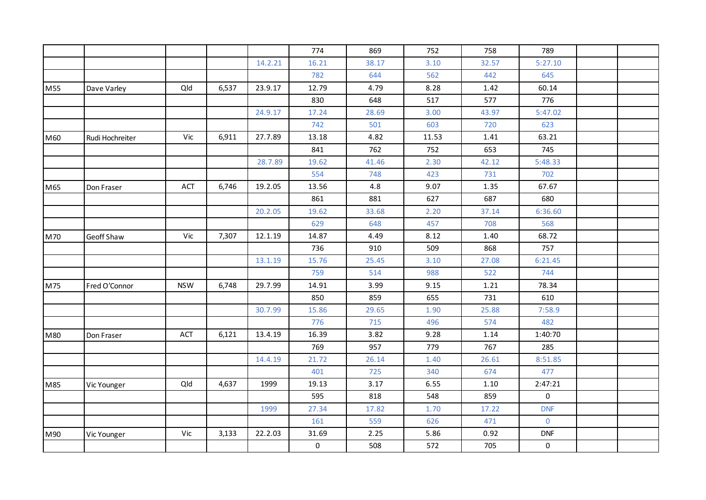|     |                 |            |       |         | 774                 | 869   | 752   | 758   | 789                 |  |
|-----|-----------------|------------|-------|---------|---------------------|-------|-------|-------|---------------------|--|
|     |                 |            |       | 14.2.21 | 16.21               | 38.17 | 3.10  | 32.57 | 5:27.10             |  |
|     |                 |            |       |         | 782                 | 644   | 562   | 442   | 645                 |  |
| M55 | Dave Varley     | Qld        | 6,537 | 23.9.17 | 12.79               | 4.79  | 8.28  | 1.42  | 60.14               |  |
|     |                 |            |       |         | 830                 | 648   | 517   | 577   | 776                 |  |
|     |                 |            |       | 24.9.17 | 17.24               | 28.69 | 3.00  | 43.97 | 5:47.02             |  |
|     |                 |            |       |         | 742                 | 501   | 603   | 720   | 623                 |  |
| M60 | Rudi Hochreiter | Vic        | 6,911 | 27.7.89 | 13.18               | 4.82  | 11.53 | 1.41  | 63.21               |  |
|     |                 |            |       |         | 841                 | 762   | 752   | 653   | 745                 |  |
|     |                 |            |       | 28.7.89 | 19.62               | 41.46 | 2.30  | 42.12 | 5:48.33             |  |
|     |                 |            |       |         | 554                 | 748   | 423   | 731   | 702                 |  |
| M65 | Don Fraser      | ACT        | 6,746 | 19.2.05 | 13.56               | 4.8   | 9.07  | 1.35  | 67.67               |  |
|     |                 |            |       |         | 861                 | 881   | 627   | 687   | 680                 |  |
|     |                 |            |       | 20.2.05 | 19.62               | 33.68 | 2.20  | 37.14 | 6:36.60             |  |
|     |                 |            |       |         | 629                 | 648   | 457   | 708   | 568                 |  |
| M70 | Geoff Shaw      | Vic        | 7,307 | 12.1.19 | 14.87               | 4.49  | 8.12  | 1.40  | 68.72               |  |
|     |                 |            |       |         | 736                 | 910   | 509   | 868   | 757                 |  |
|     |                 |            |       | 13.1.19 | 15.76               | 25.45 | 3.10  | 27.08 | 6:21.45             |  |
|     |                 |            |       |         | 759                 | 514   | 988   | 522   | 744                 |  |
| M75 | Fred O'Connor   | <b>NSW</b> | 6,748 | 29.7.99 | 14.91               | 3.99  | 9.15  | 1.21  | 78.34               |  |
|     |                 |            |       |         | 850                 | 859   | 655   | 731   | 610                 |  |
|     |                 |            |       | 30.7.99 | 15.86               | 29.65 | 1.90  | 25.88 | 7:58.9              |  |
|     |                 |            |       |         | 776                 | 715   | 496   | 574   | 482                 |  |
| M80 | Don Fraser      | <b>ACT</b> | 6,121 | 13.4.19 | 16.39               | 3.82  | 9.28  | 1.14  | 1:40:70             |  |
|     |                 |            |       |         | 769                 | 957   | 779   | 767   | 285                 |  |
|     |                 |            |       | 14.4.19 | 21.72               | 26.14 | 1.40  | 26.61 | 8:51.85             |  |
|     |                 |            |       |         | 401                 | 725   | 340   | 674   | 477                 |  |
| M85 | Vic Younger     | Qld        | 4,637 | 1999    | 19.13               | 3.17  | 6.55  | 1.10  | 2:47:21             |  |
|     |                 |            |       |         | 595                 | 818   | 548   | 859   | $\mathsf{O}\xspace$ |  |
|     |                 |            |       | 1999    | 27.34               | 17.82 | 1.70  | 17.22 | <b>DNF</b>          |  |
|     |                 |            |       |         | 161                 | 559   | 626   | 471   | $\mathbf 0$         |  |
| M90 | Vic Younger     | Vic        | 3,133 | 22.2.03 | 31.69               | 2.25  | 5.86  | 0.92  | <b>DNF</b>          |  |
|     |                 |            |       |         | $\mathsf{O}\xspace$ | 508   | 572   | 705   | 0                   |  |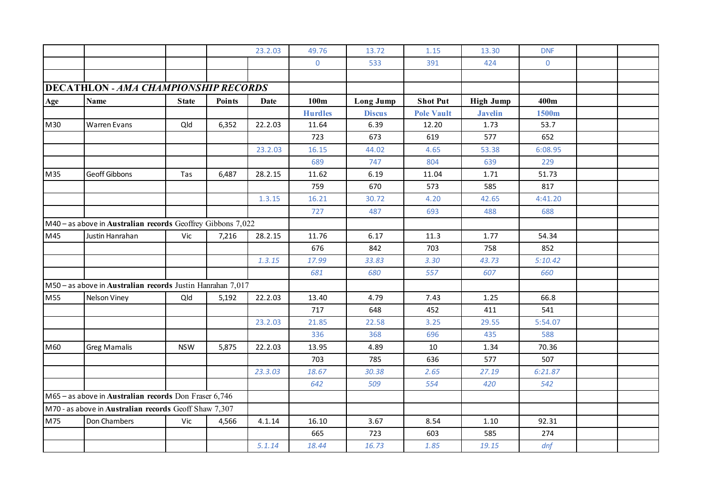|     |                                                             |              |               | 23.2.03 | 49.76          | 13.72            | 1.15              | 13.30            | <b>DNF</b>     |  |
|-----|-------------------------------------------------------------|--------------|---------------|---------|----------------|------------------|-------------------|------------------|----------------|--|
|     |                                                             |              |               |         | $\mathbf{0}$   | 533              | 391               | 424              | $\overline{0}$ |  |
|     |                                                             |              |               |         |                |                  |                   |                  |                |  |
|     | <b>DECATHLON - AMA CHAMPIONSHIP RECORDS</b>                 |              |               |         |                |                  |                   |                  |                |  |
| Age | <b>Name</b>                                                 | <b>State</b> | <b>Points</b> | Date    | 100m           | <b>Long Jump</b> | <b>Shot Put</b>   | <b>High Jump</b> | 400m           |  |
|     |                                                             |              |               |         | <b>Hurdles</b> | <b>Discus</b>    | <b>Pole Vault</b> | <b>Javelin</b>   | 1500m          |  |
| M30 | <b>Warren Evans</b>                                         | Qld          | 6,352         | 22.2.03 | 11.64          | 6.39             | 12.20             | 1.73             | 53.7           |  |
|     |                                                             |              |               |         | 723            | 673              | 619               | 577              | 652            |  |
|     |                                                             |              |               | 23.2.03 | 16.15          | 44.02            | 4.65              | 53.38            | 6:08.95        |  |
|     |                                                             |              |               |         | 689            | 747              | 804               | 639              | 229            |  |
| M35 | Geoff Gibbons                                               | Tas          | 6,487         | 28.2.15 | 11.62          | 6.19             | 11.04             | 1.71             | 51.73          |  |
|     |                                                             |              |               |         | 759            | 670              | 573               | 585              | 817            |  |
|     |                                                             |              |               | 1.3.15  | 16.21          | 30.72            | 4.20              | 42.65            | 4:41.20        |  |
|     |                                                             |              |               |         | 727            | 487              | 693               | 488              | 688            |  |
|     | M40 - as above in Australian records Geoffrey Gibbons 7,022 |              |               |         |                |                  |                   |                  |                |  |
| M45 | Justin Hanrahan                                             | Vic          | 7,216         | 28.2.15 | 11.76          | 6.17             | 11.3              | 1.77             | 54.34          |  |
|     |                                                             |              |               |         | 676            | 842              | 703               | 758              | 852            |  |
|     |                                                             |              |               | 1.3.15  | 17.99          | 33.83            | 3.30              | 43.73            | 5:10.42        |  |
|     |                                                             |              |               |         | 681            | 680              | 557               | 607              | 660            |  |
|     | M50 - as above in Australian records Justin Hanrahan 7,017  |              |               |         |                |                  |                   |                  |                |  |
| M55 | Nelson Viney                                                | Qld          | 5,192         | 22.2.03 | 13.40          | 4.79             | 7.43              | 1.25             | 66.8           |  |
|     |                                                             |              |               |         | 717            | 648              | 452               | 411              | 541            |  |
|     |                                                             |              |               | 23.2.03 | 21.85          | 22.58            | 3.25              | 29.55            | 5:54.07        |  |
|     |                                                             |              |               |         | 336            | 368              | 696               | 435              | 588            |  |
| M60 | <b>Greg Mamalis</b>                                         | <b>NSW</b>   | 5,875         | 22.2.03 | 13.95          | 4.89             | 10                | 1.34             | 70.36          |  |
|     |                                                             |              |               |         | 703            | 785              | 636               | 577              | 507            |  |
|     |                                                             |              |               | 23.3.03 | 18.67          | 30.38            | 2.65              | 27.19            | 6:21.87        |  |
|     |                                                             |              |               |         | 642            | 509              | 554               | 420              | 542            |  |
|     | M65 - as above in Australian records Don Fraser 6,746       |              |               |         |                |                  |                   |                  |                |  |
|     | M70 - as above in Australian records Geoff Shaw 7,307       |              |               |         |                |                  |                   |                  |                |  |
| M75 | Don Chambers                                                | Vic          | 4,566         | 4.1.14  | 16.10          | 3.67             | 8.54              | 1.10             | 92.31          |  |
|     |                                                             |              |               |         | 665            | 723              | 603               | 585              | 274            |  |
|     |                                                             |              |               | 5.1.14  | 18.44          | 16.73            | 1.85              | 19.15            | dnf            |  |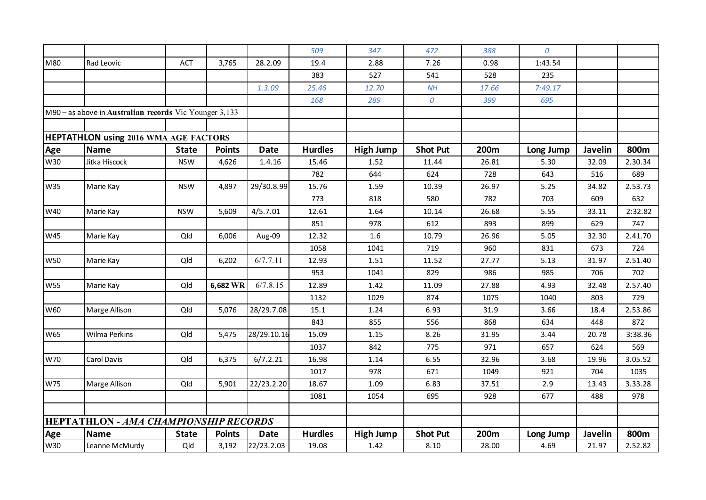|            |                                                        |              |               |             | 509            | 347              | 472              | 388   | 0         |                |         |
|------------|--------------------------------------------------------|--------------|---------------|-------------|----------------|------------------|------------------|-------|-----------|----------------|---------|
| M80        | Rad Leovic                                             | ACT          | 3,765         | 28.2.09     | 19.4           | 2.88             | 7.26             | 0.98  | 1:43.54   |                |         |
|            |                                                        |              |               |             | 383            | 527              | 541              | 528   | 235       |                |         |
|            |                                                        |              |               | 1.3.09      | 25.46          | 12.70            | NH               | 17.66 | 7:49.17   |                |         |
|            |                                                        |              |               |             | 168            | 289              | $\boldsymbol{0}$ | 399   | 695       |                |         |
|            | M90 - as above in Australian records Vic Younger 3,133 |              |               |             |                |                  |                  |       |           |                |         |
|            |                                                        |              |               |             |                |                  |                  |       |           |                |         |
|            | <b>HEPTATHLON using 2016 WMA AGE FACTORS</b>           |              |               |             |                |                  |                  |       |           |                |         |
| Age        | <b>Name</b>                                            | <b>State</b> | <b>Points</b> | <b>Date</b> | <b>Hurdles</b> | <b>High Jump</b> | <b>Shot Put</b>  | 200m  | Long Jump | <b>Javelin</b> | 800m    |
| W30        | Jitka Hiscock                                          | <b>NSW</b>   | 4,626         | 1.4.16      | 15.46          | 1.52             | 11.44            | 26.81 | 5.30      | 32.09          | 2.30.34 |
|            |                                                        |              |               |             | 782            | 644              | 624              | 728   | 643       | 516            | 689     |
| W35        | Marie Kay                                              | <b>NSW</b>   | 4,897         | 29/30.8.99  | 15.76          | 1.59             | 10.39            | 26.97 | 5.25      | 34.82          | 2.53.73 |
|            |                                                        |              |               |             | 773            | 818              | 580              | 782   | 703       | 609            | 632     |
| W40        | Marie Kay                                              | <b>NSW</b>   | 5,609         | 4/5.7.01    | 12.61          | 1.64             | 10.14            | 26.68 | 5.55      | 33.11          | 2:32.82 |
|            |                                                        |              |               |             | 851            | 978              | 612              | 893   | 899       | 629            | 747     |
| W45        | Marie Kay                                              | Qld          | 6,006         | Aug-09      | 12.32          | 1.6              | 10.79            | 26.96 | 5.05      | 32.30          | 2.41.70 |
|            |                                                        |              |               |             | 1058           | 1041             | 719              | 960   | 831       | 673            | 724     |
| <b>W50</b> | Marie Kay                                              | Qld          | 6,202         | 6/7.7.11    | 12.93          | 1.51             | 11.52            | 27.77 | 5.13      | 31.97          | 2.51.40 |
|            |                                                        |              |               |             | 953            | 1041             | 829              | 986   | 985       | 706            | 702     |
| <b>W55</b> | Marie Kay                                              | Qld          | 6,682 WR      | 6/7.8.15    | 12.89          | 1.42             | 11.09            | 27.88 | 4.93      | 32.48          | 2.57.40 |
|            |                                                        |              |               |             | 1132           | 1029             | 874              | 1075  | 1040      | 803            | 729     |
| W60        | Marge Allison                                          | Qld          | 5,076         | 28/29.7.08  | 15.1           | 1.24             | 6.93             | 31.9  | 3.66      | 18.4           | 2.53.86 |
|            |                                                        |              |               |             | 843            | 855              | 556              | 868   | 634       | 448            | 872     |
| W65        | <b>Wilma Perkins</b>                                   | Qld          | 5,475         | 28/29.10.16 | 15.09          | 1.15             | 8.26             | 31.95 | 3.44      | 20.78          | 3:38.36 |
|            |                                                        |              |               |             | 1037           | 842              | 775              | 971   | 657       | 624            | 569     |
| W70        | Carol Davis                                            | Qld          | 6,375         | 6/7.2.21    | 16.98          | 1.14             | 6.55             | 32.96 | 3.68      | 19.96          | 3.05.52 |
|            |                                                        |              |               |             | 1017           | 978              | 671              | 1049  | 921       | 704            | 1035    |
| W75        | Marge Allison                                          | Qld          | 5,901         | 22/23.2.20  | 18.67          | 1.09             | 6.83             | 37.51 | 2.9       | 13.43          | 3.33.28 |
|            |                                                        |              |               |             | 1081           | 1054             | 695              | 928   | 677       | 488            | 978     |
|            |                                                        |              |               |             |                |                  |                  |       |           |                |         |
|            | HEPTATHLON - AMA CHAMPIONSHIP RECORDS                  |              |               |             |                |                  |                  |       |           |                |         |
| Age        | <b>Name</b>                                            | <b>State</b> | <b>Points</b> | <b>Date</b> | <b>Hurdles</b> | <b>High Jump</b> | <b>Shot Put</b>  | 200m  | Long Jump | Javelin        | 800m    |
| W30        | Leanne McMurdy                                         | Qld          | 3,192         | 22/23.2.03  | 19.08          | 1.42             | 8.10             | 28.00 | 4.69      | 21.97          | 2.52.82 |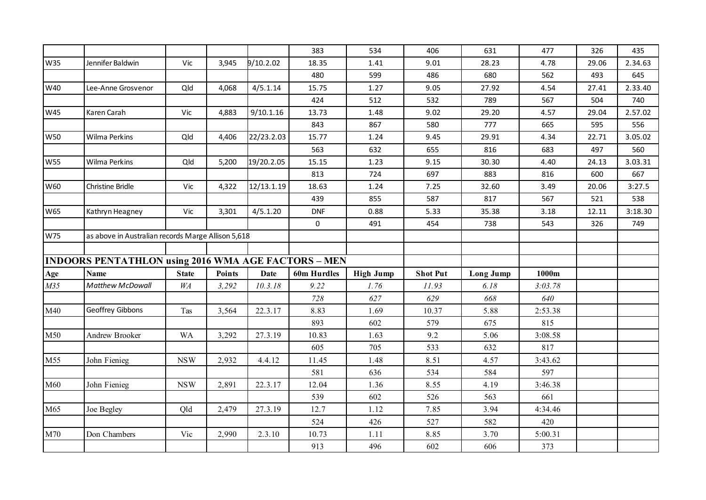|            |                                                            |              |               |             | 383                 | 534              | 406             | 631              | 477     | 326   | 435     |
|------------|------------------------------------------------------------|--------------|---------------|-------------|---------------------|------------------|-----------------|------------------|---------|-------|---------|
| W35        | Jennifer Baldwin                                           | Vic          | 3,945         | 9/10.2.02   | 18.35               | 1.41             | 9.01            | 28.23            | 4.78    | 29.06 | 2.34.63 |
|            |                                                            |              |               |             | 480                 | 599              | 486             | 680              | 562     | 493   | 645     |
| W40        | Lee-Anne Grosvenor                                         | Qld          | 4,068         | 4/5.1.14    | 15.75               | 1.27             | 9.05            | 27.92            | 4.54    | 27.41 | 2.33.40 |
|            |                                                            |              |               |             | 424                 | 512              | 532             | 789              | 567     | 504   | 740     |
| W45        | Karen Carah                                                | Vic          | 4,883         | 9/10.1.16   | 13.73               | 1.48             | 9.02            | 29.20            | 4.57    | 29.04 | 2.57.02 |
|            |                                                            |              |               |             | 843                 | 867              | 580             | 777              | 665     | 595   | 556     |
| <b>W50</b> | <b>Wilma Perkins</b>                                       | Qld          | 4,406         | 22/23.2.03  | 15.77               | 1.24             | 9.45            | 29.91            | 4.34    | 22.71 | 3.05.02 |
|            |                                                            |              |               |             | 563                 | 632              | 655             | 816              | 683     | 497   | 560     |
| <b>W55</b> | <b>Wilma Perkins</b>                                       | Qld          | 5,200         | 19/20.2.05  | 15.15               | 1.23             | 9.15            | 30.30            | 4.40    | 24.13 | 3.03.31 |
|            |                                                            |              |               |             | 813                 | 724              | 697             | 883              | 816     | 600   | 667     |
| W60        | Christine Bridle                                           | Vic          | 4,322         | 12/13.1.19  | 18.63               | 1.24             | 7.25            | 32.60            | 3.49    | 20.06 | 3:27.5  |
|            |                                                            |              |               |             | 439                 | 855              | 587             | 817              | 567     | 521   | 538     |
| W65        | Kathryn Heagney                                            | Vic          | 3,301         | 4/5.1.20    | <b>DNF</b>          | 0.88             | 5.33            | 35.38            | 3.18    | 12.11 | 3:18.30 |
|            |                                                            |              |               |             | $\mathsf{O}\xspace$ | 491              | 454             | 738              | 543     | 326   | 749     |
| W75        | as above in Australian records Marge Allison 5,618         |              |               |             |                     |                  |                 |                  |         |       |         |
|            |                                                            |              |               |             |                     |                  |                 |                  |         |       |         |
|            | <b>INDOORS PENTATHLON using 2016 WMA AGE FACTORS - MEN</b> |              |               |             |                     |                  |                 |                  |         |       |         |
| Age        | <b>Name</b>                                                | <b>State</b> | <b>Points</b> | <b>Date</b> | 60m Hurdles         | <b>High Jump</b> | <b>Shot Put</b> | <b>Long Jump</b> | 1000m   |       |         |
| M35        | Matthew McDowall                                           | WA           | 3,292         | 10.3.18     | 9.22                | 1.76             | 11.93           | 6.18             | 3:03.78 |       |         |
|            |                                                            |              |               |             |                     |                  |                 |                  |         |       |         |
| M40        |                                                            |              |               |             | 728                 | 627              | 629             | 668              | 640     |       |         |
|            | Geoffrey Gibbons                                           | Tas          | 3,564         | 22.3.17     | 8.83                | 1.69             | 10.37           | 5.88             | 2:53.38 |       |         |
|            |                                                            |              |               |             | 893                 | 602              | 579             | 675              | 815     |       |         |
| M50        | <b>Andrew Brooker</b>                                      | <b>WA</b>    | 3,292         | 27.3.19     | 10.83               | 1.63             | 9.2             | 5.06             | 3:08.58 |       |         |
|            |                                                            |              |               |             | 605                 | 705              | 533             | 632              | 817     |       |         |
| M55        | John Fienieg                                               | <b>NSW</b>   | 2,932         | 4.4.12      | 11.45               | 1.48             | 8.51            | 4.57             | 3:43.62 |       |         |
|            |                                                            |              |               |             | 581                 | 636              | 534             | 584              | 597     |       |         |
| M60        | John Fienieg                                               | <b>NSW</b>   | 2,891         | 22.3.17     | 12.04               | 1.36             | 8.55            | 4.19             | 3:46.38 |       |         |
|            |                                                            |              |               |             | 539                 | 602              | 526             | 563              | 661     |       |         |
| M65        | Joe Begley                                                 | Qld          | 2,479         | 27.3.19     | 12.7                | 1.12             | 7.85            | 3.94             | 4:34.46 |       |         |
|            |                                                            |              |               |             | 524                 | 426              | 527             | 582              | 420     |       |         |
| M70        | Don Chambers                                               | Vic          | 2,990         | 2.3.10      | 10.73               | 1.11             | 8.85            | 3.70             | 5:00.31 |       |         |